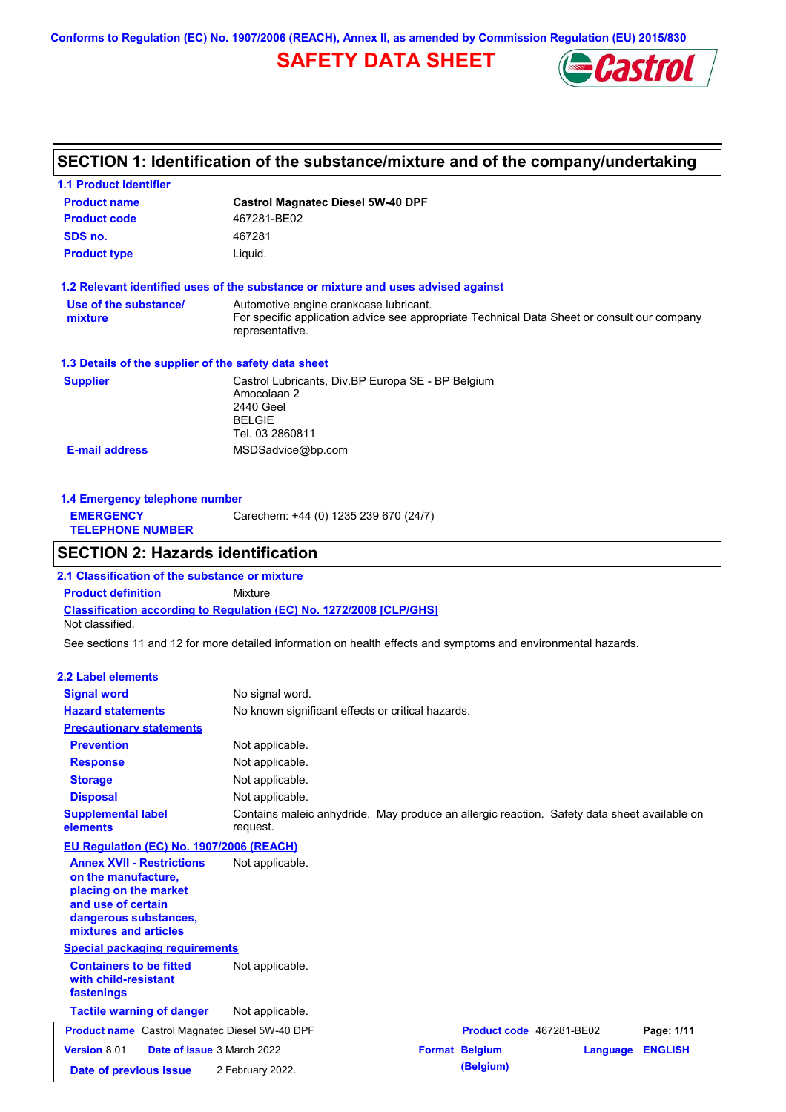**Conforms to Regulation (EC) No. 1907/2006 (REACH), Annex II, as amended by Commission Regulation (EU) 2015/830**

## **SAFETY DATA SHEET**



# **SECTION 1: Identification of the substance/mixture and of the company/undertaking**

| 1.1 Product identifier                                                                                                                                                                               |                                                                                                                                                          |                          |                 |                |
|------------------------------------------------------------------------------------------------------------------------------------------------------------------------------------------------------|----------------------------------------------------------------------------------------------------------------------------------------------------------|--------------------------|-----------------|----------------|
| <b>Product name</b>                                                                                                                                                                                  | <b>Castrol Magnatec Diesel 5W-40 DPF</b>                                                                                                                 |                          |                 |                |
| <b>Product code</b>                                                                                                                                                                                  | 467281-BE02                                                                                                                                              |                          |                 |                |
| SDS no.                                                                                                                                                                                              | 467281                                                                                                                                                   |                          |                 |                |
| <b>Product type</b>                                                                                                                                                                                  | Liquid.                                                                                                                                                  |                          |                 |                |
|                                                                                                                                                                                                      |                                                                                                                                                          |                          |                 |                |
| Use of the substance/                                                                                                                                                                                | 1.2 Relevant identified uses of the substance or mixture and uses advised against                                                                        |                          |                 |                |
| mixture                                                                                                                                                                                              | Automotive engine crankcase lubricant.<br>For specific application advice see appropriate Technical Data Sheet or consult our company<br>representative. |                          |                 |                |
| 1.3 Details of the supplier of the safety data sheet                                                                                                                                                 |                                                                                                                                                          |                          |                 |                |
| <b>Supplier</b>                                                                                                                                                                                      | Castrol Lubricants, Div.BP Europa SE - BP Belgium<br>Amocolaan 2<br>2440 Geel<br><b>BELGIE</b><br>Tel. 03 2860811                                        |                          |                 |                |
| <b>E-mail address</b>                                                                                                                                                                                | MSDSadvice@bp.com                                                                                                                                        |                          |                 |                |
| 1.4 Emergency telephone number<br><b>EMERGENCY</b><br><b>TELEPHONE NUMBER</b>                                                                                                                        | Carechem: +44 (0) 1235 239 670 (24/7)                                                                                                                    |                          |                 |                |
| <b>SECTION 2: Hazards identification</b>                                                                                                                                                             |                                                                                                                                                          |                          |                 |                |
| 2.1 Classification of the substance or mixture                                                                                                                                                       |                                                                                                                                                          |                          |                 |                |
| <b>Product definition</b>                                                                                                                                                                            | Mixture                                                                                                                                                  |                          |                 |                |
| Not classified.                                                                                                                                                                                      | Classification according to Regulation (EC) No. 1272/2008 [CLP/GHS]                                                                                      |                          |                 |                |
|                                                                                                                                                                                                      | See sections 11 and 12 for more detailed information on health effects and symptoms and environmental hazards.                                           |                          |                 |                |
| 2.2 Label elements                                                                                                                                                                                   |                                                                                                                                                          |                          |                 |                |
| <b>Signal word</b>                                                                                                                                                                                   | No signal word.                                                                                                                                          |                          |                 |                |
| <b>Hazard statements</b>                                                                                                                                                                             | No known significant effects or critical hazards.                                                                                                        |                          |                 |                |
| <b>Precautionary statements</b>                                                                                                                                                                      |                                                                                                                                                          |                          |                 |                |
| <b>Prevention</b>                                                                                                                                                                                    | Not applicable.                                                                                                                                          |                          |                 |                |
| <b>Response</b>                                                                                                                                                                                      | Not applicable.                                                                                                                                          |                          |                 |                |
| <b>Storage</b>                                                                                                                                                                                       | Not applicable.                                                                                                                                          |                          |                 |                |
| <b>Disposal</b>                                                                                                                                                                                      | Not applicable.                                                                                                                                          |                          |                 |                |
| <b>Supplemental label</b>                                                                                                                                                                            | Contains maleic anhydride. May produce an allergic reaction. Safety data sheet available on                                                              |                          |                 |                |
| elements                                                                                                                                                                                             | request.                                                                                                                                                 |                          |                 |                |
| EU Regulation (EC) No. 1907/2006 (REACH)<br><b>Annex XVII - Restrictions</b><br>on the manufacture,<br>placing on the market<br>and use of certain<br>dangerous substances,<br>mixtures and articles | Not applicable.                                                                                                                                          |                          |                 |                |
| <b>Special packaging requirements</b>                                                                                                                                                                |                                                                                                                                                          |                          |                 |                |
| <b>Containers to be fitted</b><br>with child-resistant<br>fastenings                                                                                                                                 | Not applicable.                                                                                                                                          |                          |                 |                |
| <b>Tactile warning of danger</b>                                                                                                                                                                     | Not applicable.                                                                                                                                          |                          |                 |                |
| <b>Product name</b> Castrol Magnatec Diesel 5W-40 DPF                                                                                                                                                |                                                                                                                                                          | Product code 467281-BE02 |                 | Page: 1/11     |
| Version 8.01<br>Date of issue 3 March 2022                                                                                                                                                           |                                                                                                                                                          | <b>Format Belgium</b>    | <b>Language</b> | <b>ENGLISH</b> |
| Date of previous issue                                                                                                                                                                               | 2 February 2022.                                                                                                                                         | (Belgium)                |                 |                |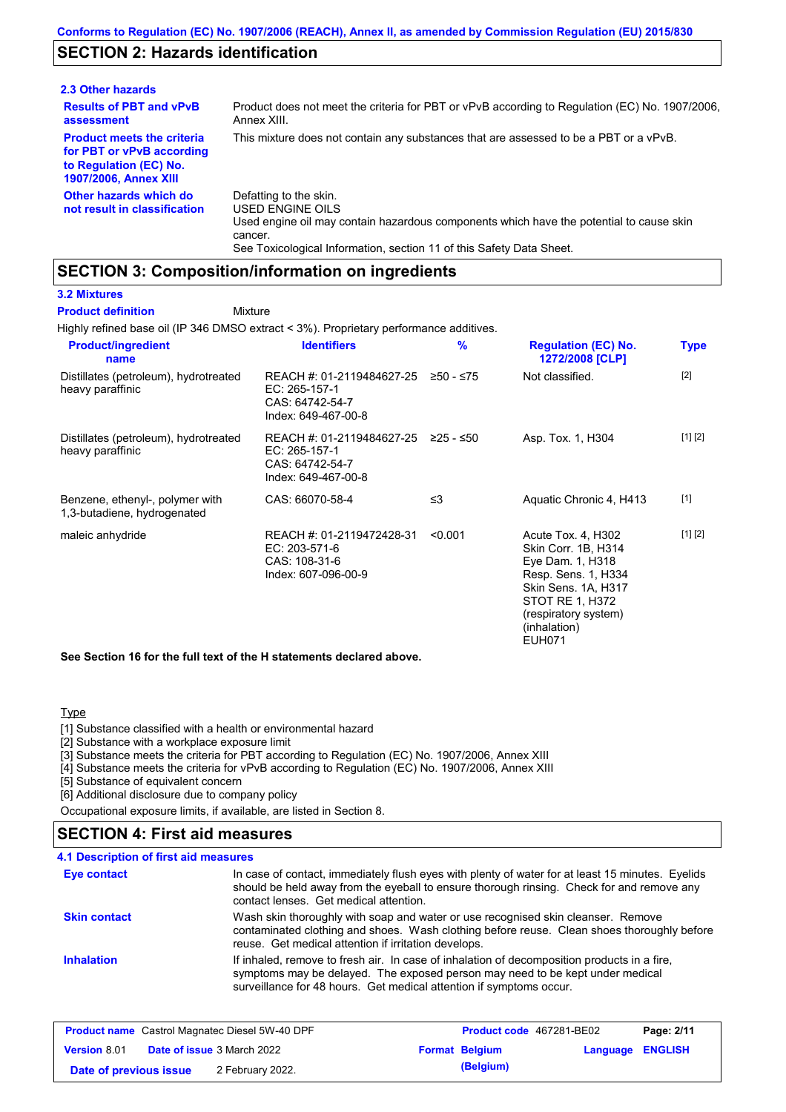## **SECTION 2: Hazards identification**

| 2.3 Other hazards                                                                                                        |                                                                                                                                                                                                                          |
|--------------------------------------------------------------------------------------------------------------------------|--------------------------------------------------------------------------------------------------------------------------------------------------------------------------------------------------------------------------|
| <b>Results of PBT and vPvB</b><br>assessment                                                                             | Product does not meet the criteria for PBT or vPvB according to Regulation (EC) No. 1907/2006,<br>Annex XIII.                                                                                                            |
| <b>Product meets the criteria</b><br>for PBT or vPvB according<br>to Regulation (EC) No.<br><b>1907/2006, Annex XIII</b> | This mixture does not contain any substances that are assessed to be a PBT or a vPvB.                                                                                                                                    |
| Other hazards which do<br>not result in classification                                                                   | Defatting to the skin.<br>USED ENGINE OILS<br>Used engine oil may contain hazardous components which have the potential to cause skin<br>cancer.<br>See Toxicological Information, section 11 of this Safety Data Sheet. |

## **SECTION 3: Composition/information on ingredients**

Mixture

#### **3.2 Mixtures**

**Product definition**

Highly refined base oil (IP 346 DMSO extract < 3%). Proprietary performance additives.

| <b>Product/ingredient</b><br>name                              | <b>Identifiers</b>                                                                   | $\frac{9}{6}$ | <b>Regulation (EC) No.</b><br>1272/2008 [CLP]                                                                                                                          | Type    |
|----------------------------------------------------------------|--------------------------------------------------------------------------------------|---------------|------------------------------------------------------------------------------------------------------------------------------------------------------------------------|---------|
| Distillates (petroleum), hydrotreated<br>heavy paraffinic      | REACH #: 01-2119484627-25<br>EC: 265-157-1<br>CAS: 64742-54-7<br>Index: 649-467-00-8 | $≥50 - ≤75$   | Not classified.                                                                                                                                                        | $[2]$   |
| Distillates (petroleum), hydrotreated<br>heavy paraffinic      | REACH #: 01-2119484627-25<br>EC: 265-157-1<br>CAS: 64742-54-7<br>Index: 649-467-00-8 | $≥25 - ≤50$   | Asp. Tox. 1, H304                                                                                                                                                      | [1] [2] |
| Benzene, ethenyl-, polymer with<br>1,3-butadiene, hydrogenated | CAS: 66070-58-4                                                                      | $\leq$ 3      | Aquatic Chronic 4, H413                                                                                                                                                | $[1]$   |
| maleic anhydride                                               | REACH #: 01-2119472428-31<br>EC: 203-571-6<br>CAS: 108-31-6<br>Index: 607-096-00-9   | < 0.001       | Acute Tox. 4, H302<br>Skin Corr. 1B, H314<br>Eye Dam. 1, H318<br>Resp. Sens. 1, H334<br>Skin Sens. 1A, H317<br>STOT RE 1, H372<br>(respiratory system)<br>(inhalation) | [1] [2] |

EUH071

**See Section 16 for the full text of the H statements declared above.**

### **Type**

[1] Substance classified with a health or environmental hazard

[2] Substance with a workplace exposure limit

[3] Substance meets the criteria for PBT according to Regulation (EC) No. 1907/2006, Annex XIII

[4] Substance meets the criteria for vPvB according to Regulation (EC) No. 1907/2006, Annex XIII

[5] Substance of equivalent concern

[6] Additional disclosure due to company policy

Occupational exposure limits, if available, are listed in Section 8.

## **4.1 Description of first aid measures SECTION 4: First aid measures**

| <b>Eye contact</b>  | In case of contact, immediately flush eyes with plenty of water for at least 15 minutes. Eyelids<br>should be held away from the eyeball to ensure thorough rinsing. Check for and remove any<br>contact lenses. Get medical attention.             |
|---------------------|-----------------------------------------------------------------------------------------------------------------------------------------------------------------------------------------------------------------------------------------------------|
| <b>Skin contact</b> | Wash skin thoroughly with soap and water or use recognised skin cleanser. Remove<br>contaminated clothing and shoes. Wash clothing before reuse. Clean shoes thoroughly before<br>reuse. Get medical attention if irritation develops.              |
| <b>Inhalation</b>   | If inhaled, remove to fresh air. In case of inhalation of decomposition products in a fire,<br>symptoms may be delayed. The exposed person may need to be kept under medical<br>surveillance for 48 hours. Get medical attention if symptoms occur. |

| <b>Product name</b> Castrol Magnatec Diesel 5W-40 DPF |  |                                   | Product code 467281-BE02 | Page: 2/11       |  |
|-------------------------------------------------------|--|-----------------------------------|--------------------------|------------------|--|
| <b>Version 8.01</b>                                   |  | <b>Date of issue 3 March 2022</b> | <b>Format Belgium</b>    | Language ENGLISH |  |
| Date of previous issue                                |  | 2 February 2022.                  | (Belgium)                |                  |  |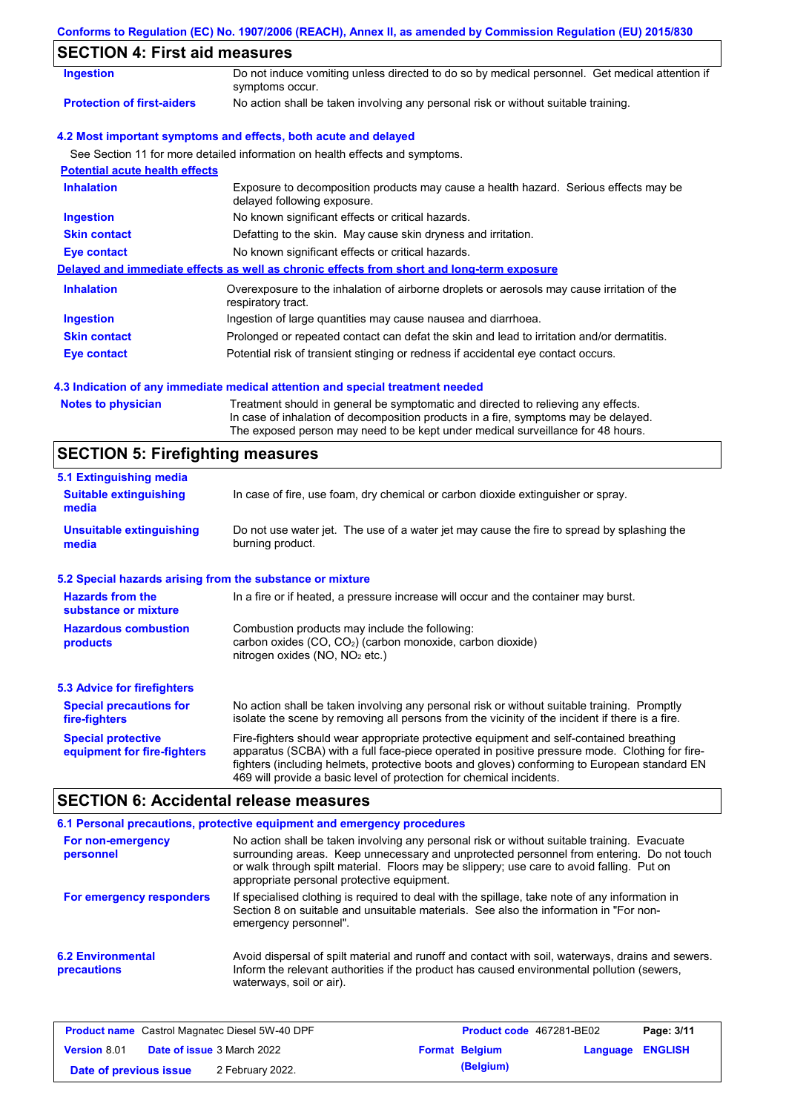| Conforms to Regulation (EC) No. 1907/2006 (REACH), Annex II, as amended by Commission Regulation (EU) 2015/830 |  |  |  |  |
|----------------------------------------------------------------------------------------------------------------|--|--|--|--|
|                                                                                                                |  |  |  |  |

## **SECTION 4: First aid measures**

| Ingestion                             | Do not induce vomiting unless directed to do so by medical personnel. Get medical attention if<br>symptoms occur.   |
|---------------------------------------|---------------------------------------------------------------------------------------------------------------------|
| <b>Protection of first-aiders</b>     | No action shall be taken involving any personal risk or without suitable training.                                  |
|                                       | 4.2 Most important symptoms and effects, both acute and delayed                                                     |
|                                       | See Section 11 for more detailed information on health effects and symptoms.                                        |
| <b>Potential acute health effects</b> |                                                                                                                     |
| <b>Inhalation</b>                     | Exposure to decomposition products may cause a health hazard. Serious effects may be<br>delayed following exposure. |
| <b>Ingestion</b>                      | No known significant effects or critical hazards.                                                                   |
| <b>Skin contact</b>                   | Defatting to the skin. May cause skin dryness and irritation.                                                       |
| Eye contact                           | No known significant effects or critical hazards.                                                                   |
|                                       | Delayed and immediate effects as well as chronic effects from short and long-term exposure                          |
| <b>Inhalation</b>                     | Overexposure to the inhalation of airborne droplets or aerosols may cause irritation of the<br>respiratory tract.   |
| Ingestion                             | Ingestion of large quantities may cause nausea and diarrhoea.                                                       |
| <b>Skin contact</b>                   | Prolonged or repeated contact can defat the skin and lead to irritation and/or dermatitis.                          |
| Eye contact                           | Potential risk of transient stinging or redness if accidental eye contact occurs.                                   |

## **4.3 Indication of any immediate medical attention and special treatment needed**

| <b>Notes to physician</b> | Treatment should in general be symptomatic and directed to relieving any effects.   |
|---------------------------|-------------------------------------------------------------------------------------|
|                           | In case of inhalation of decomposition products in a fire, symptoms may be delayed. |
|                           | The exposed person may need to be kept under medical surveillance for 48 hours.     |

# **SECTION 5: Firefighting measures**

| 5.1 Extinguishing media                                                                                                                                                                                                                                                                                                                                                                                                       |                                                                                                                |  |  |
|-------------------------------------------------------------------------------------------------------------------------------------------------------------------------------------------------------------------------------------------------------------------------------------------------------------------------------------------------------------------------------------------------------------------------------|----------------------------------------------------------------------------------------------------------------|--|--|
| <b>Suitable extinguishing</b><br>media                                                                                                                                                                                                                                                                                                                                                                                        | In case of fire, use foam, dry chemical or carbon dioxide extinguisher or spray.                               |  |  |
| <b>Unsuitable extinguishing</b><br>media                                                                                                                                                                                                                                                                                                                                                                                      | Do not use water jet. The use of a water jet may cause the fire to spread by splashing the<br>burning product. |  |  |
| 5.2 Special hazards arising from the substance or mixture                                                                                                                                                                                                                                                                                                                                                                     |                                                                                                                |  |  |
| <b>Hazards from the</b><br>In a fire or if heated, a pressure increase will occur and the container may burst.<br>substance or mixture                                                                                                                                                                                                                                                                                        |                                                                                                                |  |  |
| Combustion products may include the following:<br><b>Hazardous combustion</b><br>carbon oxides $(CO, CO2)$ (carbon monoxide, carbon dioxide)<br>products<br>nitrogen oxides (NO, NO <sub>2</sub> etc.)                                                                                                                                                                                                                        |                                                                                                                |  |  |
| <b>5.3 Advice for firefighters</b>                                                                                                                                                                                                                                                                                                                                                                                            |                                                                                                                |  |  |
| No action shall be taken involving any personal risk or without suitable training. Promptly<br><b>Special precautions for</b><br>isolate the scene by removing all persons from the vicinity of the incident if there is a fire.<br>fire-fighters                                                                                                                                                                             |                                                                                                                |  |  |
| Fire-fighters should wear appropriate protective equipment and self-contained breathing<br><b>Special protective</b><br>apparatus (SCBA) with a full face-piece operated in positive pressure mode. Clothing for fire-<br>equipment for fire-fighters<br>fighters (including helmets, protective boots and gloves) conforming to European standard EN<br>469 will provide a basic level of protection for chemical incidents. |                                                                                                                |  |  |

# **SECTION 6: Accidental release measures**

|                                         | 6.1 Personal precautions, protective equipment and emergency procedures                                                                                                                                                                                                                                                             |
|-----------------------------------------|-------------------------------------------------------------------------------------------------------------------------------------------------------------------------------------------------------------------------------------------------------------------------------------------------------------------------------------|
| For non-emergency<br>personnel          | No action shall be taken involving any personal risk or without suitable training. Evacuate<br>surrounding areas. Keep unnecessary and unprotected personnel from entering. Do not touch<br>or walk through spilt material. Floors may be slippery; use care to avoid falling. Put on<br>appropriate personal protective equipment. |
| For emergency responders                | If specialised clothing is required to deal with the spillage, take note of any information in<br>Section 8 on suitable and unsuitable materials. See also the information in "For non-<br>emergency personnel".                                                                                                                    |
| <b>6.2 Environmental</b><br>precautions | Avoid dispersal of spilt material and runoff and contact with soil, waterways, drains and sewers.<br>Inform the relevant authorities if the product has caused environmental pollution (sewers,<br>waterways, soil or air).                                                                                                         |

| <b>Product name</b> Castrol Magnatec Diesel 5W-40 DPF |  | Product code 467281-BE02          |                       | Page: 3/11              |  |
|-------------------------------------------------------|--|-----------------------------------|-----------------------|-------------------------|--|
| <b>Version 8.01</b>                                   |  | <b>Date of issue 3 March 2022</b> | <b>Format Belgium</b> | <b>Language ENGLISH</b> |  |
| Date of previous issue                                |  | 2 February 2022.                  | (Belgium)             |                         |  |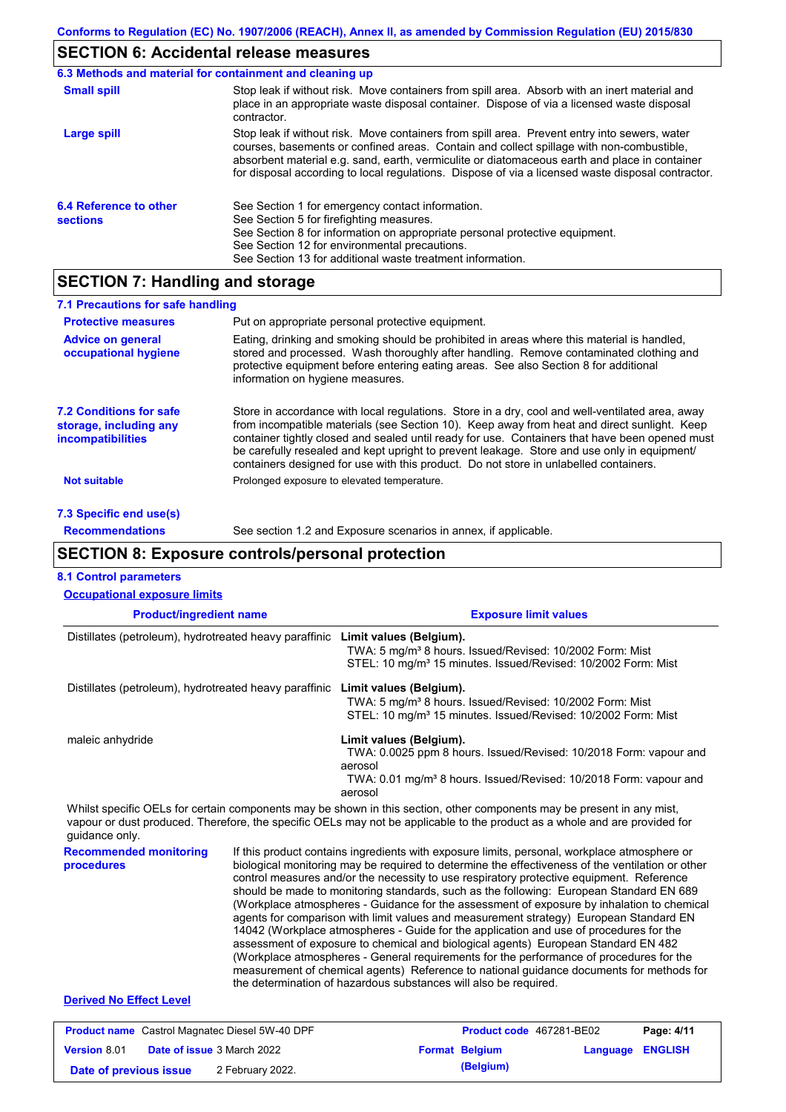# **SECTION 6: Accidental release measures**

| 6.3 Methods and material for containment and cleaning up |                                                                                                                                                                                                                                                                                                                                                                                                |
|----------------------------------------------------------|------------------------------------------------------------------------------------------------------------------------------------------------------------------------------------------------------------------------------------------------------------------------------------------------------------------------------------------------------------------------------------------------|
| <b>Small spill</b>                                       | Stop leak if without risk. Move containers from spill area. Absorb with an inert material and<br>place in an appropriate waste disposal container. Dispose of via a licensed waste disposal<br>contractor.                                                                                                                                                                                     |
| Large spill                                              | Stop leak if without risk. Move containers from spill area. Prevent entry into sewers, water<br>courses, basements or confined areas. Contain and collect spillage with non-combustible,<br>absorbent material e.g. sand, earth, vermiculite or diatomaceous earth and place in container<br>for disposal according to local regulations. Dispose of via a licensed waste disposal contractor. |
| 6.4 Reference to other<br><b>sections</b>                | See Section 1 for emergency contact information.<br>See Section 5 for firefighting measures.<br>See Section 8 for information on appropriate personal protective equipment.<br>See Section 12 for environmental precautions.<br>See Section 13 for additional waste treatment information.                                                                                                     |

## **SECTION 7: Handling and storage**

| 7.1 Precautions for safe handling                                                    |                                                                                                                                                                                                                                                                                                                                                                                                                                                                                          |
|--------------------------------------------------------------------------------------|------------------------------------------------------------------------------------------------------------------------------------------------------------------------------------------------------------------------------------------------------------------------------------------------------------------------------------------------------------------------------------------------------------------------------------------------------------------------------------------|
| <b>Protective measures</b>                                                           | Put on appropriate personal protective equipment.                                                                                                                                                                                                                                                                                                                                                                                                                                        |
| <b>Advice on general</b><br>occupational hygiene                                     | Eating, drinking and smoking should be prohibited in areas where this material is handled,<br>stored and processed. Wash thoroughly after handling. Remove contaminated clothing and<br>protective equipment before entering eating areas. See also Section 8 for additional<br>information on hygiene measures.                                                                                                                                                                         |
| <b>7.2 Conditions for safe</b><br>storage, including any<br><i>incompatibilities</i> | Store in accordance with local regulations. Store in a dry, cool and well-ventilated area, away<br>from incompatible materials (see Section 10). Keep away from heat and direct sunlight. Keep<br>container tightly closed and sealed until ready for use. Containers that have been opened must<br>be carefully resealed and kept upright to prevent leakage. Store and use only in equipment/<br>containers designed for use with this product. Do not store in unlabelled containers. |
| <b>Not suitable</b>                                                                  | Prolonged exposure to elevated temperature.                                                                                                                                                                                                                                                                                                                                                                                                                                              |
| 7.3 Specific end use(s)                                                              |                                                                                                                                                                                                                                                                                                                                                                                                                                                                                          |
| <b>Recommendations</b>                                                               | See section 1.2 and Exposure scenarios in annex, if applicable.                                                                                                                                                                                                                                                                                                                                                                                                                          |

## **SECTION 8: Exposure controls/personal protection**

| <b>8.1 Control parameters</b><br><b>Occupational exposure limits</b>                                                                                                                                                                                                   |                  |                                                                                                                                                                                                                                                                                                                                                                                                                                                                                                                                                                                                                                                                                                                                                                                                                                                                                                                                                                                                                            |                                    |          |                |
|------------------------------------------------------------------------------------------------------------------------------------------------------------------------------------------------------------------------------------------------------------------------|------------------|----------------------------------------------------------------------------------------------------------------------------------------------------------------------------------------------------------------------------------------------------------------------------------------------------------------------------------------------------------------------------------------------------------------------------------------------------------------------------------------------------------------------------------------------------------------------------------------------------------------------------------------------------------------------------------------------------------------------------------------------------------------------------------------------------------------------------------------------------------------------------------------------------------------------------------------------------------------------------------------------------------------------------|------------------------------------|----------|----------------|
| <b>Product/ingredient name</b>                                                                                                                                                                                                                                         |                  |                                                                                                                                                                                                                                                                                                                                                                                                                                                                                                                                                                                                                                                                                                                                                                                                                                                                                                                                                                                                                            | <b>Exposure limit values</b>       |          |                |
| Distillates (petroleum), hydrotreated heavy paraffinic Limit values (Belgium).                                                                                                                                                                                         |                  | TWA: 5 mg/m <sup>3</sup> 8 hours. Issued/Revised: 10/2002 Form: Mist<br>STEL: 10 mg/m <sup>3</sup> 15 minutes. Issued/Revised: 10/2002 Form: Mist                                                                                                                                                                                                                                                                                                                                                                                                                                                                                                                                                                                                                                                                                                                                                                                                                                                                          |                                    |          |                |
| Distillates (petroleum), hydrotreated heavy paraffinic                                                                                                                                                                                                                 |                  | Limit values (Belgium).<br>TWA: 5 mg/m <sup>3</sup> 8 hours. Issued/Revised: 10/2002 Form: Mist<br>STEL: 10 mg/m <sup>3</sup> 15 minutes. Issued/Revised: 10/2002 Form: Mist                                                                                                                                                                                                                                                                                                                                                                                                                                                                                                                                                                                                                                                                                                                                                                                                                                               |                                    |          |                |
| maleic anhydride                                                                                                                                                                                                                                                       |                  | Limit values (Belgium).<br>TWA: 0.0025 ppm 8 hours. Issued/Revised: 10/2018 Form: vapour and<br>aerosol<br>TWA: 0.01 mg/m <sup>3</sup> 8 hours. Issued/Revised: 10/2018 Form: vapour and<br>aerosol                                                                                                                                                                                                                                                                                                                                                                                                                                                                                                                                                                                                                                                                                                                                                                                                                        |                                    |          |                |
| Whilst specific OELs for certain components may be shown in this section, other components may be present in any mist,<br>vapour or dust produced. Therefore, the specific OELs may not be applicable to the product as a whole and are provided for<br>quidance only. |                  |                                                                                                                                                                                                                                                                                                                                                                                                                                                                                                                                                                                                                                                                                                                                                                                                                                                                                                                                                                                                                            |                                    |          |                |
| <b>Recommended monitoring</b><br>procedures                                                                                                                                                                                                                            |                  | If this product contains ingredients with exposure limits, personal, workplace atmosphere or<br>biological monitoring may be required to determine the effectiveness of the ventilation or other<br>control measures and/or the necessity to use respiratory protective equipment. Reference<br>should be made to monitoring standards, such as the following: European Standard EN 689<br>(Workplace atmospheres - Guidance for the assessment of exposure by inhalation to chemical<br>agents for comparison with limit values and measurement strategy) European Standard EN<br>14042 (Workplace atmospheres - Guide for the application and use of procedures for the<br>assessment of exposure to chemical and biological agents) European Standard EN 482<br>(Workplace atmospheres - General requirements for the performance of procedures for the<br>measurement of chemical agents) Reference to national quidance documents for methods for<br>the determination of hazardous substances will also be required. |                                    |          |                |
| <b>Derived No Effect Level</b>                                                                                                                                                                                                                                         |                  |                                                                                                                                                                                                                                                                                                                                                                                                                                                                                                                                                                                                                                                                                                                                                                                                                                                                                                                                                                                                                            |                                    |          |                |
| <b>Product name</b> Castrol Magnatec Diesel 5W-40 DPF                                                                                                                                                                                                                  |                  |                                                                                                                                                                                                                                                                                                                                                                                                                                                                                                                                                                                                                                                                                                                                                                                                                                                                                                                                                                                                                            | Product code 467281-BE02           |          | Page: 4/11     |
| Version 8.01<br>Date of issue 3 March 2022<br>Date of previous issue                                                                                                                                                                                                   | 2 February 2022. |                                                                                                                                                                                                                                                                                                                                                                                                                                                                                                                                                                                                                                                                                                                                                                                                                                                                                                                                                                                                                            | <b>Format Belgium</b><br>(Belgium) | Language | <b>ENGLISH</b> |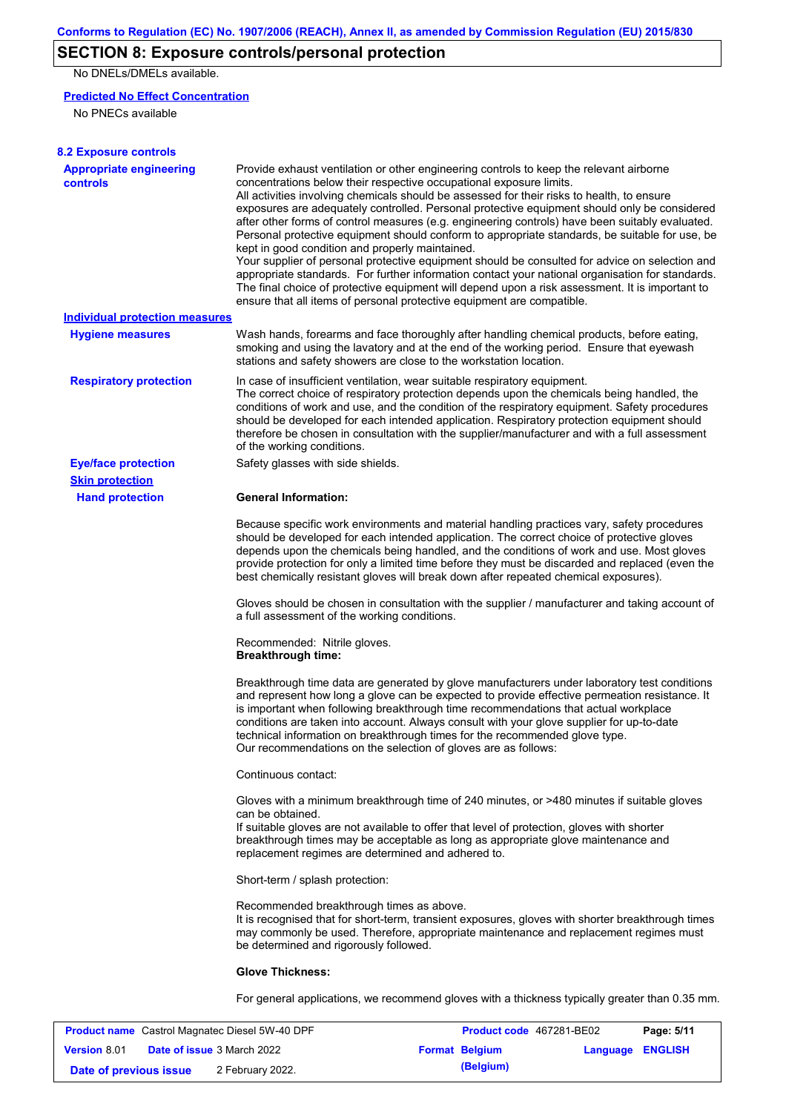## **SECTION 8: Exposure controls/personal protection**

No DNELs/DMELs available.

## **Predicted No Effect Concentration**

No PNECs available

| <b>8.2 Exposure controls</b>                     |                                                                                                                                                                                                                                                                                                                                                                                                                                                                                                                                                                                                                                                                                                                                                                                                                                                                                                                                                                                                                                                                                      |
|--------------------------------------------------|--------------------------------------------------------------------------------------------------------------------------------------------------------------------------------------------------------------------------------------------------------------------------------------------------------------------------------------------------------------------------------------------------------------------------------------------------------------------------------------------------------------------------------------------------------------------------------------------------------------------------------------------------------------------------------------------------------------------------------------------------------------------------------------------------------------------------------------------------------------------------------------------------------------------------------------------------------------------------------------------------------------------------------------------------------------------------------------|
| <b>Appropriate engineering</b><br>controls       | Provide exhaust ventilation or other engineering controls to keep the relevant airborne<br>concentrations below their respective occupational exposure limits.<br>All activities involving chemicals should be assessed for their risks to health, to ensure<br>exposures are adequately controlled. Personal protective equipment should only be considered<br>after other forms of control measures (e.g. engineering controls) have been suitably evaluated.<br>Personal protective equipment should conform to appropriate standards, be suitable for use, be<br>kept in good condition and properly maintained.<br>Your supplier of personal protective equipment should be consulted for advice on selection and<br>appropriate standards. For further information contact your national organisation for standards.<br>The final choice of protective equipment will depend upon a risk assessment. It is important to<br>ensure that all items of personal protective equipment are compatible.                                                                              |
| <b>Individual protection measures</b>            |                                                                                                                                                                                                                                                                                                                                                                                                                                                                                                                                                                                                                                                                                                                                                                                                                                                                                                                                                                                                                                                                                      |
| <b>Hygiene measures</b>                          | Wash hands, forearms and face thoroughly after handling chemical products, before eating,<br>smoking and using the lavatory and at the end of the working period. Ensure that eyewash<br>stations and safety showers are close to the workstation location.                                                                                                                                                                                                                                                                                                                                                                                                                                                                                                                                                                                                                                                                                                                                                                                                                          |
| <b>Respiratory protection</b>                    | In case of insufficient ventilation, wear suitable respiratory equipment.<br>The correct choice of respiratory protection depends upon the chemicals being handled, the<br>conditions of work and use, and the condition of the respiratory equipment. Safety procedures<br>should be developed for each intended application. Respiratory protection equipment should<br>therefore be chosen in consultation with the supplier/manufacturer and with a full assessment<br>of the working conditions.                                                                                                                                                                                                                                                                                                                                                                                                                                                                                                                                                                                |
| <b>Eye/face protection</b>                       | Safety glasses with side shields.                                                                                                                                                                                                                                                                                                                                                                                                                                                                                                                                                                                                                                                                                                                                                                                                                                                                                                                                                                                                                                                    |
| <b>Skin protection</b><br><b>Hand protection</b> | <b>General Information:</b>                                                                                                                                                                                                                                                                                                                                                                                                                                                                                                                                                                                                                                                                                                                                                                                                                                                                                                                                                                                                                                                          |
|                                                  | Because specific work environments and material handling practices vary, safety procedures<br>should be developed for each intended application. The correct choice of protective gloves<br>depends upon the chemicals being handled, and the conditions of work and use. Most gloves<br>provide protection for only a limited time before they must be discarded and replaced (even the<br>best chemically resistant gloves will break down after repeated chemical exposures).<br>Gloves should be chosen in consultation with the supplier / manufacturer and taking account of<br>a full assessment of the working conditions.<br>Recommended: Nitrile gloves.<br><b>Breakthrough time:</b><br>Breakthrough time data are generated by glove manufacturers under laboratory test conditions<br>and represent how long a glove can be expected to provide effective permeation resistance. It<br>is important when following breakthrough time recommendations that actual workplace<br>conditions are taken into account. Always consult with your glove supplier for up-to-date |
|                                                  | technical information on breakthrough times for the recommended glove type.<br>Our recommendations on the selection of gloves are as follows:<br>Continuous contact:                                                                                                                                                                                                                                                                                                                                                                                                                                                                                                                                                                                                                                                                                                                                                                                                                                                                                                                 |
|                                                  | Gloves with a minimum breakthrough time of 240 minutes, or >480 minutes if suitable gloves<br>can be obtained.<br>If suitable gloves are not available to offer that level of protection, gloves with shorter<br>breakthrough times may be acceptable as long as appropriate glove maintenance and<br>replacement regimes are determined and adhered to.                                                                                                                                                                                                                                                                                                                                                                                                                                                                                                                                                                                                                                                                                                                             |
|                                                  | Short-term / splash protection:                                                                                                                                                                                                                                                                                                                                                                                                                                                                                                                                                                                                                                                                                                                                                                                                                                                                                                                                                                                                                                                      |
|                                                  | Recommended breakthrough times as above.<br>It is recognised that for short-term, transient exposures, gloves with shorter breakthrough times<br>may commonly be used. Therefore, appropriate maintenance and replacement regimes must<br>be determined and rigorously followed.                                                                                                                                                                                                                                                                                                                                                                                                                                                                                                                                                                                                                                                                                                                                                                                                     |
|                                                  | <b>Glove Thickness:</b>                                                                                                                                                                                                                                                                                                                                                                                                                                                                                                                                                                                                                                                                                                                                                                                                                                                                                                                                                                                                                                                              |
|                                                  | For general applications, we recommend gloves with a thickness typically greater than 0.35 mm.                                                                                                                                                                                                                                                                                                                                                                                                                                                                                                                                                                                                                                                                                                                                                                                                                                                                                                                                                                                       |

| <b>Product name</b> Castrol Magnatec Diesel 5W-40 DPF |  |                                   | <b>Product code</b> 467281-BE02 | Page: 5/11            |                         |  |
|-------------------------------------------------------|--|-----------------------------------|---------------------------------|-----------------------|-------------------------|--|
| <b>Version 8.01</b>                                   |  | <b>Date of issue 3 March 2022</b> |                                 | <b>Format Belgium</b> | <b>Language ENGLISH</b> |  |
| Date of previous issue                                |  | 2 February 2022.                  |                                 | (Belgium)             |                         |  |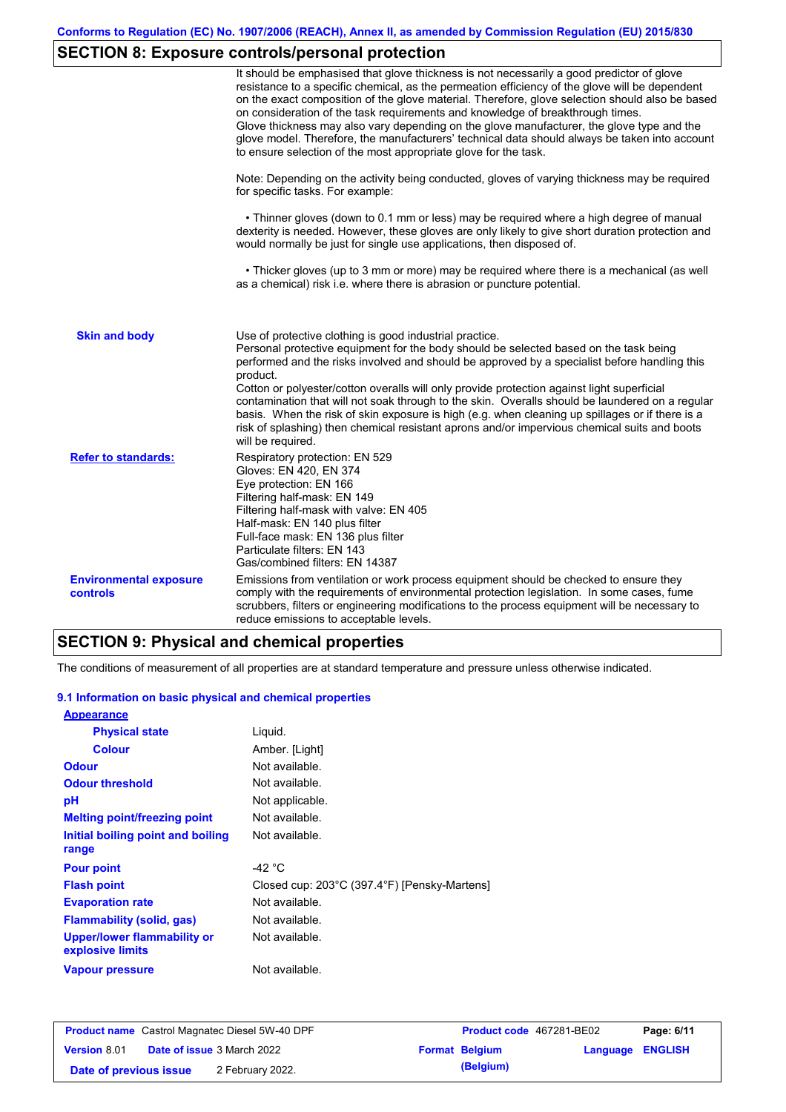# **SECTION 8: Exposure controls/personal protection**

|                                           | It should be emphasised that glove thickness is not necessarily a good predictor of glove<br>resistance to a specific chemical, as the permeation efficiency of the glove will be dependent<br>on the exact composition of the glove material. Therefore, glove selection should also be based<br>on consideration of the task requirements and knowledge of breakthrough times.<br>Glove thickness may also vary depending on the glove manufacturer, the glove type and the<br>glove model. Therefore, the manufacturers' technical data should always be taken into account<br>to ensure selection of the most appropriate glove for the task.                                     |
|-------------------------------------------|---------------------------------------------------------------------------------------------------------------------------------------------------------------------------------------------------------------------------------------------------------------------------------------------------------------------------------------------------------------------------------------------------------------------------------------------------------------------------------------------------------------------------------------------------------------------------------------------------------------------------------------------------------------------------------------|
|                                           | Note: Depending on the activity being conducted, gloves of varying thickness may be required<br>for specific tasks. For example:                                                                                                                                                                                                                                                                                                                                                                                                                                                                                                                                                      |
|                                           | • Thinner gloves (down to 0.1 mm or less) may be required where a high degree of manual<br>dexterity is needed. However, these gloves are only likely to give short duration protection and<br>would normally be just for single use applications, then disposed of.                                                                                                                                                                                                                                                                                                                                                                                                                  |
|                                           | • Thicker gloves (up to 3 mm or more) may be required where there is a mechanical (as well<br>as a chemical) risk i.e. where there is abrasion or puncture potential.                                                                                                                                                                                                                                                                                                                                                                                                                                                                                                                 |
| <b>Skin and body</b>                      | Use of protective clothing is good industrial practice.<br>Personal protective equipment for the body should be selected based on the task being<br>performed and the risks involved and should be approved by a specialist before handling this<br>product.<br>Cotton or polyester/cotton overalls will only provide protection against light superficial<br>contamination that will not soak through to the skin. Overalls should be laundered on a regular<br>basis. When the risk of skin exposure is high (e.g. when cleaning up spillages or if there is a<br>risk of splashing) then chemical resistant aprons and/or impervious chemical suits and boots<br>will be required. |
| <b>Refer to standards:</b>                | Respiratory protection: EN 529<br>Gloves: EN 420, EN 374<br>Eye protection: EN 166<br>Filtering half-mask: EN 149<br>Filtering half-mask with valve: EN 405<br>Half-mask: EN 140 plus filter<br>Full-face mask: EN 136 plus filter<br>Particulate filters: EN 143<br>Gas/combined filters: EN 14387                                                                                                                                                                                                                                                                                                                                                                                   |
| <b>Environmental exposure</b><br>controls | Emissions from ventilation or work process equipment should be checked to ensure they<br>comply with the requirements of environmental protection legislation. In some cases, fume<br>scrubbers, filters or engineering modifications to the process equipment will be necessary to<br>reduce emissions to acceptable levels.                                                                                                                                                                                                                                                                                                                                                         |

# **SECTION 9: Physical and chemical properties**

The conditions of measurement of all properties are at standard temperature and pressure unless otherwise indicated.

#### **9.1 Information on basic physical and chemical properties**

| <b>Appearance</b>                                      |                                              |
|--------------------------------------------------------|----------------------------------------------|
| <b>Physical state</b>                                  | Liquid.                                      |
| <b>Colour</b>                                          | Amber. [Light]                               |
| <b>Odour</b>                                           | Not available.                               |
| <b>Odour threshold</b>                                 | Not available.                               |
| рH                                                     | Not applicable.                              |
| <b>Melting point/freezing point</b>                    | Not available.                               |
| Initial boiling point and boiling                      | Not available.                               |
| range                                                  |                                              |
| <b>Pour point</b>                                      | -42 °C                                       |
| <b>Flash point</b>                                     | Closed cup: 203°C (397.4°F) [Pensky-Martens] |
| <b>Evaporation rate</b>                                | Not available.                               |
| Flammability (solid, gas)                              | Not available.                               |
| <b>Upper/lower flammability or</b><br>explosive limits | Not available.                               |
| <b>Vapour pressure</b>                                 | Not available.                               |

| <b>Product name</b> Castrol Magnatec Diesel 5W-40 DPF |  |                                   | Product code 467281-BE02 | Page: 6/11            |                         |  |
|-------------------------------------------------------|--|-----------------------------------|--------------------------|-----------------------|-------------------------|--|
| <b>Version 8.01</b>                                   |  | <b>Date of issue 3 March 2022</b> |                          | <b>Format Belgium</b> | <b>Language ENGLISH</b> |  |
| Date of previous issue                                |  | 2 February 2022.                  |                          | (Belgium)             |                         |  |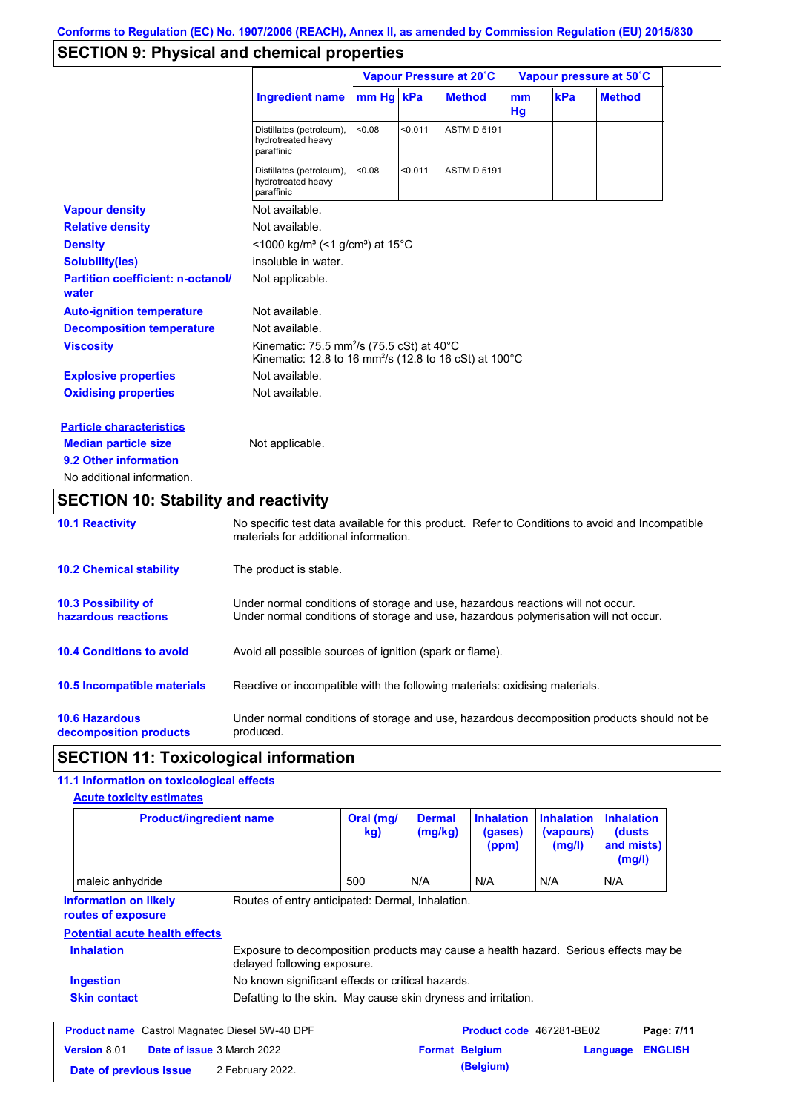## **SECTION 9: Physical and chemical properties**

|                                                   |                                                                                                                                        | Vapour Pressure at 20°C |         |                    | Vapour pressure at 50°C |     |               |
|---------------------------------------------------|----------------------------------------------------------------------------------------------------------------------------------------|-------------------------|---------|--------------------|-------------------------|-----|---------------|
|                                                   | <b>Ingredient name</b>                                                                                                                 | mm Hg kPa               |         | <b>Method</b>      | <sub>mm</sub><br>Hg     | kPa | <b>Method</b> |
|                                                   | Distillates (petroleum),<br>hydrotreated heavy<br>paraffinic                                                                           | < 0.08                  | < 0.011 | <b>ASTM D 5191</b> |                         |     |               |
|                                                   | Distillates (petroleum),<br>hydrotreated heavy<br>paraffinic                                                                           | < 0.08                  | < 0.011 | <b>ASTM D 5191</b> |                         |     |               |
| <b>Vapour density</b>                             | Not available.                                                                                                                         |                         |         |                    |                         |     |               |
| <b>Relative density</b>                           | Not available.                                                                                                                         |                         |         |                    |                         |     |               |
| <b>Density</b>                                    | <1000 kg/m <sup>3</sup> (<1 g/cm <sup>3</sup> ) at 15°C                                                                                |                         |         |                    |                         |     |               |
| <b>Solubility(ies)</b>                            | insoluble in water.                                                                                                                    |                         |         |                    |                         |     |               |
| <b>Partition coefficient: n-octanol/</b><br>water | Not applicable.                                                                                                                        |                         |         |                    |                         |     |               |
| <b>Auto-ignition temperature</b>                  | Not available.                                                                                                                         |                         |         |                    |                         |     |               |
| <b>Decomposition temperature</b>                  | Not available.                                                                                                                         |                         |         |                    |                         |     |               |
| <b>Viscosity</b>                                  | Kinematic: 75.5 mm <sup>2</sup> /s (75.5 cSt) at 40 $^{\circ}$ C<br>Kinematic: 12.8 to 16 mm <sup>2</sup> /s (12.8 to 16 cSt) at 100°C |                         |         |                    |                         |     |               |
| <b>Explosive properties</b>                       | Not available.                                                                                                                         |                         |         |                    |                         |     |               |
| <b>Oxidising properties</b>                       | Not available.                                                                                                                         |                         |         |                    |                         |     |               |
| <b>Particle characteristics</b>                   |                                                                                                                                        |                         |         |                    |                         |     |               |
| <b>Median particle size</b>                       | Not applicable.                                                                                                                        |                         |         |                    |                         |     |               |
| 9.2 Other information                             |                                                                                                                                        |                         |         |                    |                         |     |               |
| No additional information.                        |                                                                                                                                        |                         |         |                    |                         |     |               |

## **SECTION 10: Stability and reactivity**

| <b>10.1 Reactivity</b>                          | No specific test data available for this product. Refer to Conditions to avoid and Incompatible<br>materials for additional information.                                |
|-------------------------------------------------|-------------------------------------------------------------------------------------------------------------------------------------------------------------------------|
| <b>10.2 Chemical stability</b>                  | The product is stable.                                                                                                                                                  |
| 10.3 Possibility of<br>hazardous reactions      | Under normal conditions of storage and use, hazardous reactions will not occur.<br>Under normal conditions of storage and use, hazardous polymerisation will not occur. |
| <b>10.4 Conditions to avoid</b>                 | Avoid all possible sources of ignition (spark or flame).                                                                                                                |
| 10.5 Incompatible materials                     | Reactive or incompatible with the following materials: oxidising materials.                                                                                             |
| <b>10.6 Hazardous</b><br>decomposition products | Under normal conditions of storage and use, hazardous decomposition products should not be<br>produced.                                                                 |

## **SECTION 11: Toxicological information**

## **11.1 Information on toxicological effects**

| <b>Acute toxicity estimates</b>                    |                                                                                                                     |                  |                          |                                       |                                          |                                                      |                |
|----------------------------------------------------|---------------------------------------------------------------------------------------------------------------------|------------------|--------------------------|---------------------------------------|------------------------------------------|------------------------------------------------------|----------------|
| <b>Product/ingredient name</b>                     |                                                                                                                     | Oral (mg/<br>kg) | <b>Dermal</b><br>(mg/kg) | <b>Inhalation</b><br>(gases)<br>(ppm) | <b>Inhalation</b><br>(vapours)<br>(mg/l) | <b>Inhalation</b><br>(dusts)<br>and mists)<br>(mg/l) |                |
| maleic anhydride                                   |                                                                                                                     | 500              | N/A                      | N/A                                   | N/A                                      | N/A                                                  |                |
| <b>Information on likely</b><br>routes of exposure | Routes of entry anticipated: Dermal, Inhalation.                                                                    |                  |                          |                                       |                                          |                                                      |                |
| <b>Potential acute health effects</b>              |                                                                                                                     |                  |                          |                                       |                                          |                                                      |                |
| <b>Inhalation</b>                                  | Exposure to decomposition products may cause a health hazard. Serious effects may be<br>delayed following exposure. |                  |                          |                                       |                                          |                                                      |                |
| <b>Ingestion</b>                                   | No known significant effects or critical hazards.                                                                   |                  |                          |                                       |                                          |                                                      |                |
| <b>Skin contact</b>                                | Defatting to the skin. May cause skin dryness and irritation.                                                       |                  |                          |                                       |                                          |                                                      |                |
| <b>Product name</b>                                | Castrol Magnatec Diesel 5W-40 DPF                                                                                   |                  |                          | Product code 467281-BE02              |                                          |                                                      | Page: 7/11     |
| <b>Version 8.01</b>                                | <b>Date of issue 3 March 2022</b>                                                                                   |                  | <b>Format Belgium</b>    |                                       |                                          | Language                                             | <b>ENGLISH</b> |
| Date of previous issue                             | 2 February 2022.                                                                                                    |                  |                          | (Belgium)                             |                                          |                                                      |                |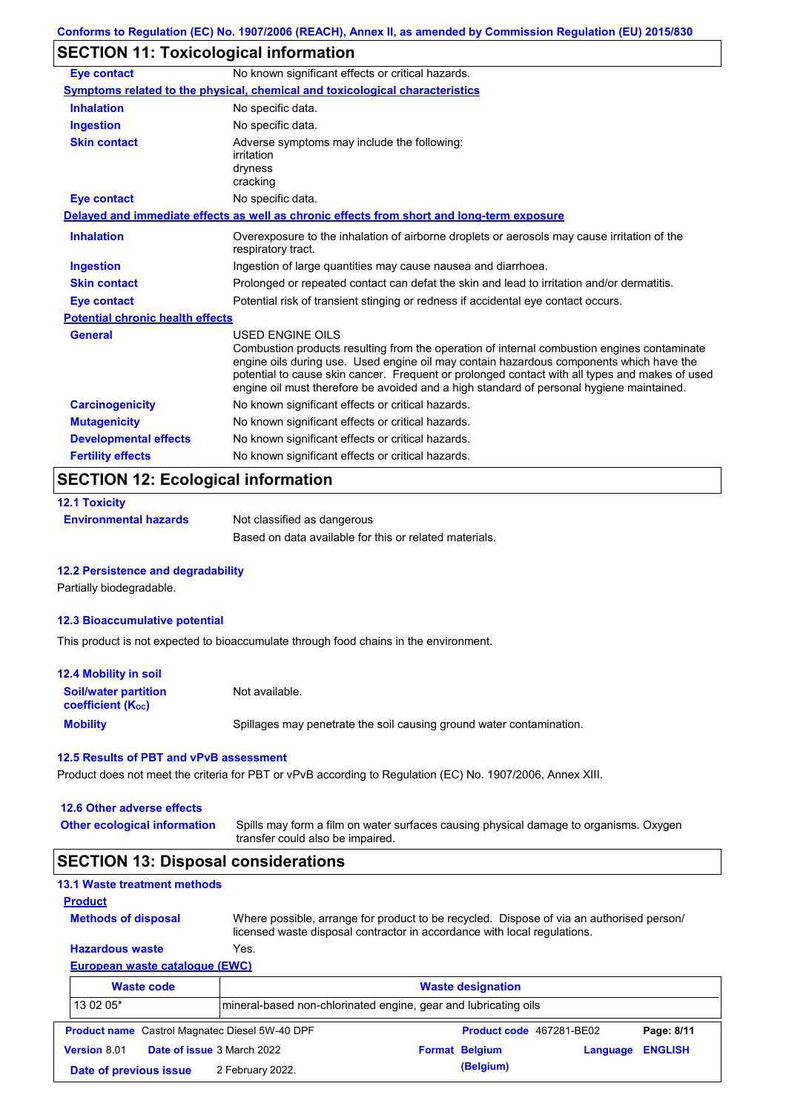## **SECTION 11: Toxicological information**

| <b>Eye contact</b>                      | No known significant effects or critical hazards.                                                                                                                                                                                                                                                                                                                                                               |
|-----------------------------------------|-----------------------------------------------------------------------------------------------------------------------------------------------------------------------------------------------------------------------------------------------------------------------------------------------------------------------------------------------------------------------------------------------------------------|
|                                         | Symptoms related to the physical, chemical and toxicological characteristics                                                                                                                                                                                                                                                                                                                                    |
| <b>Inhalation</b>                       | No specific data.                                                                                                                                                                                                                                                                                                                                                                                               |
| <b>Ingestion</b>                        | No specific data.                                                                                                                                                                                                                                                                                                                                                                                               |
| <b>Skin contact</b>                     | Adverse symptoms may include the following:<br>irritation<br>dryness<br>cracking                                                                                                                                                                                                                                                                                                                                |
| <b>Eye contact</b>                      | No specific data.                                                                                                                                                                                                                                                                                                                                                                                               |
|                                         | Delayed and immediate effects as well as chronic effects from short and long-term exposure                                                                                                                                                                                                                                                                                                                      |
| <b>Inhalation</b>                       | Overexposure to the inhalation of airborne droplets or aerosols may cause irritation of the<br>respiratory tract.                                                                                                                                                                                                                                                                                               |
| <b>Ingestion</b>                        | Ingestion of large quantities may cause nausea and diarrhoea.                                                                                                                                                                                                                                                                                                                                                   |
| <b>Skin contact</b>                     | Prolonged or repeated contact can defat the skin and lead to irritation and/or dermatitis.                                                                                                                                                                                                                                                                                                                      |
| <b>Eye contact</b>                      | Potential risk of transient stinging or redness if accidental eye contact occurs.                                                                                                                                                                                                                                                                                                                               |
| <b>Potential chronic health effects</b> |                                                                                                                                                                                                                                                                                                                                                                                                                 |
| <b>General</b>                          | <b>USED ENGINE OILS</b><br>Combustion products resulting from the operation of internal combustion engines contaminate<br>engine oils during use. Used engine oil may contain hazardous components which have the<br>potential to cause skin cancer. Frequent or prolonged contact with all types and makes of used<br>engine oil must therefore be avoided and a high standard of personal hygiene maintained. |
| <b>Carcinogenicity</b>                  | No known significant effects or critical hazards.                                                                                                                                                                                                                                                                                                                                                               |
| <b>Mutagenicity</b>                     | No known significant effects or critical hazards.                                                                                                                                                                                                                                                                                                                                                               |
| <b>Developmental effects</b>            | No known significant effects or critical hazards.                                                                                                                                                                                                                                                                                                                                                               |
| <b>Fertility effects</b>                | No known significant effects or critical hazards.                                                                                                                                                                                                                                                                                                                                                               |

## **12.1 Toxicity Environmental hazards** Not classified as dangerous Based on data available for this or related materials.

#### **12.2 Persistence and degradability**

Partially biodegradable.

#### **12.3 Bioaccumulative potential**

This product is not expected to bioaccumulate through food chains in the environment.

| 12.4 Mobility in soil                                         |                                                                      |
|---------------------------------------------------------------|----------------------------------------------------------------------|
| <b>Soil/water partition</b><br>coefficient (K <sub>oc</sub> ) | Not available.                                                       |
| <b>Mobility</b>                                               | Spillages may penetrate the soil causing ground water contamination. |

#### **12.5 Results of PBT and vPvB assessment**

Product does not meet the criteria for PBT or vPvB according to Regulation (EC) No. 1907/2006, Annex XIII.

#### **12.6 Other adverse effects**

Spills may form a film on water surfaces causing physical damage to organisms. Oxygen transfer could also be impaired. **Other ecological information**

## **SECTION 13: Disposal considerations**

| <b>13.1 Waste treatment methods</b>                   |                                                                 |                                                                                                                                                                      |            |
|-------------------------------------------------------|-----------------------------------------------------------------|----------------------------------------------------------------------------------------------------------------------------------------------------------------------|------------|
| <b>Product</b>                                        |                                                                 |                                                                                                                                                                      |            |
| <b>Methods of disposal</b>                            |                                                                 | Where possible, arrange for product to be recycled. Dispose of via an authorised person/<br>licensed waste disposal contractor in accordance with local regulations. |            |
| <b>Hazardous waste</b>                                | Yes.                                                            |                                                                                                                                                                      |            |
| <b>European waste catalogue (EWC)</b>                 |                                                                 |                                                                                                                                                                      |            |
| <b>Waste code</b>                                     |                                                                 | <b>Waste designation</b>                                                                                                                                             |            |
| 13 02 05*                                             | mineral-based non-chlorinated engine, gear and lubricating oils |                                                                                                                                                                      |            |
| <b>Product name</b> Castrol Magnatec Diesel 5W-40 DPF |                                                                 | Product code 467281-BE02                                                                                                                                             | Page: 8/11 |

| <b>Version 8.01</b>    | <b>Date of issue</b> 3 March 2022 | <b>Format Belgium</b> | Language ENGLISH |  |
|------------------------|-----------------------------------|-----------------------|------------------|--|
| Date of previous issue | 2 February 2022.                  | (Belgium)             |                  |  |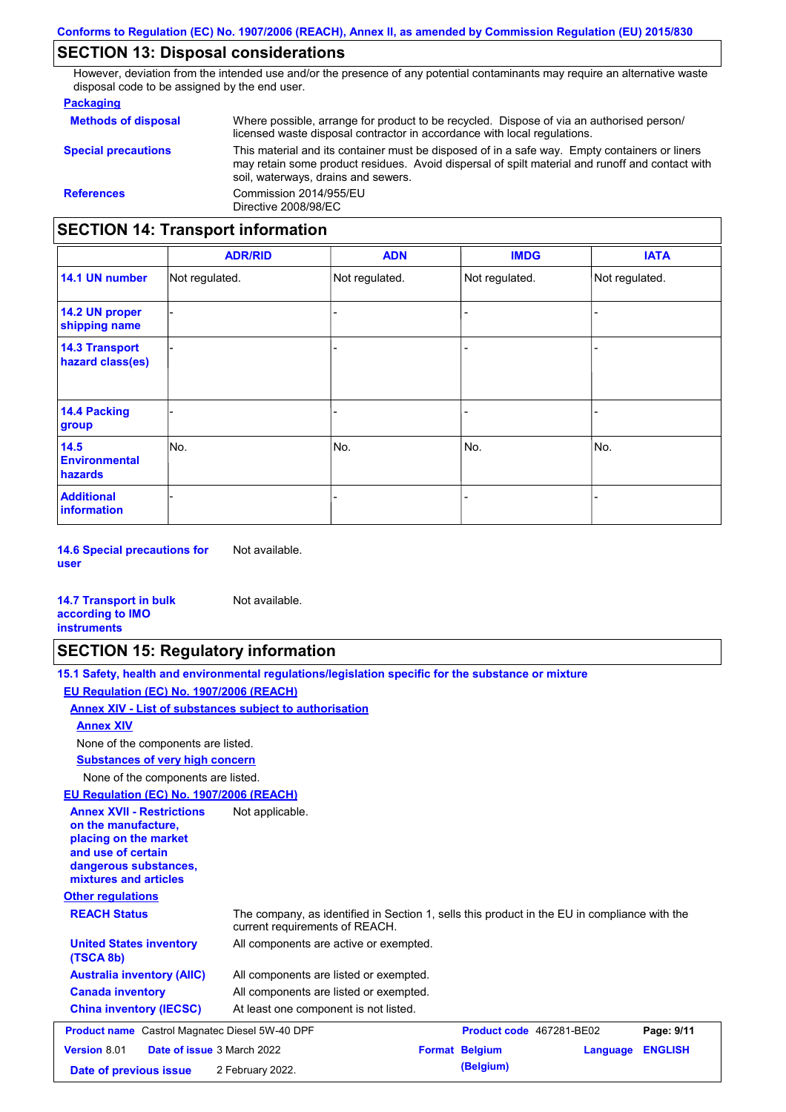## **SECTION 13: Disposal considerations**

However, deviation from the intended use and/or the presence of any potential contaminants may require an alternative waste disposal code to be assigned by the end user.

#### **Packaging**

| <b>Methods of disposal</b>               | Where possible, arrange for product to be recycled. Dispose of via an authorised person/<br>licensed waste disposal contractor in accordance with local regulations.                                                                    |  |  |  |
|------------------------------------------|-----------------------------------------------------------------------------------------------------------------------------------------------------------------------------------------------------------------------------------------|--|--|--|
| <b>Special precautions</b>               | This material and its container must be disposed of in a safe way. Empty containers or liners<br>may retain some product residues. Avoid dispersal of spilt material and runoff and contact with<br>soil, waterways, drains and sewers. |  |  |  |
| <b>References</b>                        | Commission 2014/955/EU<br>Directive 2008/98/EC                                                                                                                                                                                          |  |  |  |
| <b>SECTION 14: Transport information</b> |                                                                                                                                                                                                                                         |  |  |  |

|                                           | <b>ADR/RID</b> | <b>ADN</b>     | <b>IMDG</b>              | <b>IATA</b>    |
|-------------------------------------------|----------------|----------------|--------------------------|----------------|
| 14.1 UN number                            | Not regulated. | Not regulated. | Not regulated.           | Not regulated. |
| 14.2 UN proper<br>shipping name           |                |                |                          |                |
| <b>14.3 Transport</b><br>hazard class(es) |                |                | $\overline{\phantom{0}}$ |                |
| 14.4 Packing<br>group                     |                |                | $\blacksquare$           |                |
| 14.5<br><b>Environmental</b><br>hazards   | No.            | No.            | No.                      | No.            |
| <b>Additional</b><br>information          |                |                | -                        |                |

**14.6 Special precautions for user** Not available.

#### **14.7 Transport in bulk according to IMO instruments**

# **SECTION 15: Regulatory information**

Not available.

| 15.1 Safety, health and environmental regulations/legislation specific for the substance or mixture |
|-----------------------------------------------------------------------------------------------------|
| EU Regulation (EC) No. 1907/2006 (REACH)                                                            |
| Annex XIV - List of substances subject to authorisation                                             |
| <b>Annex XIV</b>                                                                                    |

None of the components are listed.

**Substances of very high concern**

None of the components are listed.

## **EU Regulation (EC) No. 1907/2006 (REACH)**

| EU Regulation (EC) No. 1907/2006 (REACH)                                                                                                                 |                                                                                                                                |
|----------------------------------------------------------------------------------------------------------------------------------------------------------|--------------------------------------------------------------------------------------------------------------------------------|
| <b>Annex XVII - Restrictions</b><br>on the manufacture.<br>placing on the market<br>and use of certain<br>dangerous substances,<br>mixtures and articles | Not applicable.                                                                                                                |
| <b>Other regulations</b>                                                                                                                                 |                                                                                                                                |
| <b>REACH Status</b>                                                                                                                                      | The company, as identified in Section 1, sells this product in the EU in compliance with the<br>current requirements of REACH. |
| <b>United States inventory</b><br>(TSCA 8b)                                                                                                              | All components are active or exempted.                                                                                         |
| <b>Australia inventory (AIIC)</b>                                                                                                                        | All components are listed or exempted.                                                                                         |
| <b>Canada inventory</b>                                                                                                                                  | All components are listed or exempted.                                                                                         |
| <b>China inventory (IECSC)</b>                                                                                                                           | At least one component is not listed.                                                                                          |
| <b>Product name</b> Castrol Magnatec Diesel 5W-40 DPF                                                                                                    | Page: 9/11<br><b>Product code</b> 467281-BE02                                                                                  |
| <b>Version 8.01</b>                                                                                                                                      | Date of issue 3 March 2022<br><b>ENGLISH</b><br><b>Format Belgium</b><br>Language                                              |
| Date of previous issue                                                                                                                                   | (Belgium)<br>2 February 2022.                                                                                                  |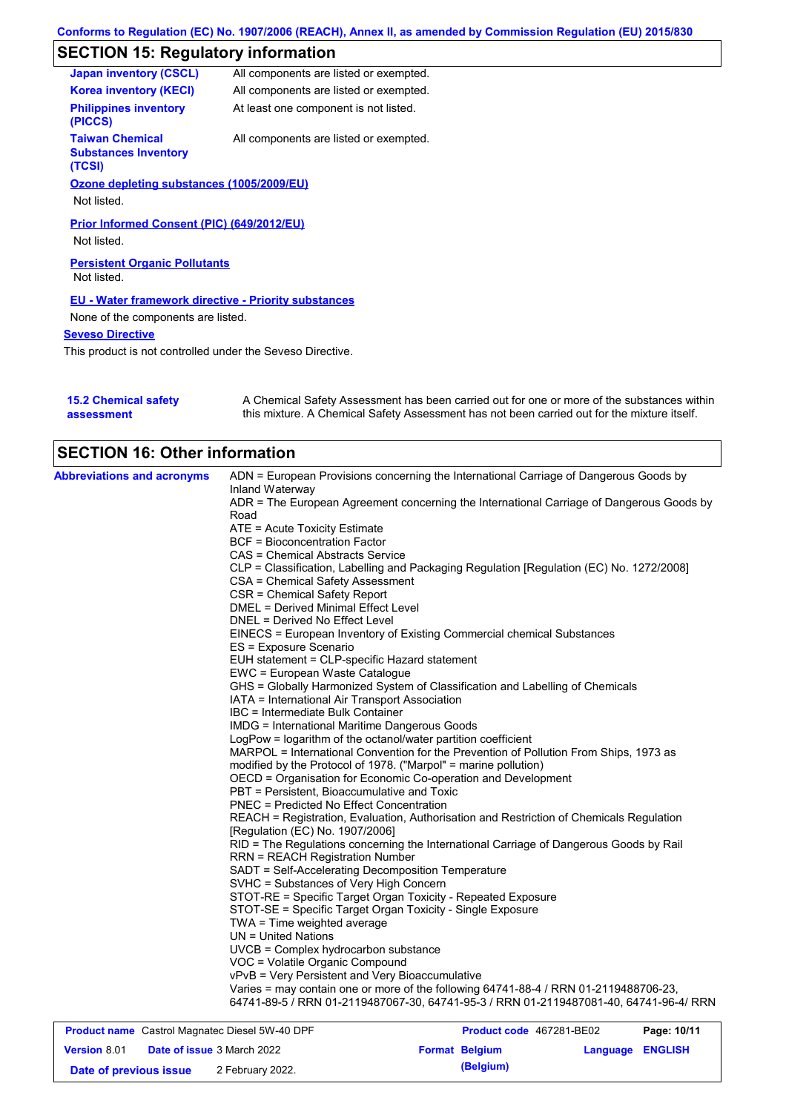# **SECTION 15: Regulatory information**

| <b>Japan inventory (CSCL)</b>                                   | All components are listed or exempted. |
|-----------------------------------------------------------------|----------------------------------------|
| <b>Korea inventory (KECI)</b>                                   | All components are listed or exempted. |
| <b>Philippines inventory</b><br>(PICCS)                         | At least one component is not listed.  |
| <b>Taiwan Chemical</b><br><b>Substances Inventory</b><br>(TCSI) | All components are listed or exempted. |
| Ozone depleting substances (1005/2009/EU)                       |                                        |
| Not listed.                                                     |                                        |
| Prior Informed Consent (PIC) (649/2012/EU)<br>Not listed.       |                                        |
| <b>Persistent Organic Pollutants</b><br>Not listed.             |                                        |
| <b>EU - Water framework directive - Priority substances</b>     |                                        |
| None of the components are listed.                              |                                        |
| <b>Seveso Directive</b>                                         |                                        |
|                                                                 |                                        |

This product is not controlled under the Seveso Directive.

| <b>15.2 Chemical safety</b> | A Chemical Safety Assessment has been carried out for one or more of the substances within  |
|-----------------------------|---------------------------------------------------------------------------------------------|
| assessment                  | this mixture. A Chemical Safety Assessment has not been carried out for the mixture itself. |

| <b>SECTION 16: Other information</b> |                                                                                          |
|--------------------------------------|------------------------------------------------------------------------------------------|
| <b>Abbreviations and acronyms</b>    | ADN = European Provisions concerning the International Carriage of Dangerous Goods by    |
|                                      | Inland Waterway                                                                          |
|                                      | ADR = The European Agreement concerning the International Carriage of Dangerous Goods by |
|                                      | Road                                                                                     |
|                                      | ATE = Acute Toxicity Estimate                                                            |
|                                      | <b>BCF</b> = Bioconcentration Factor                                                     |
|                                      | CAS = Chemical Abstracts Service                                                         |
|                                      | CLP = Classification, Labelling and Packaging Regulation [Regulation (EC) No. 1272/2008] |
|                                      | CSA = Chemical Safety Assessment                                                         |
|                                      | CSR = Chemical Safety Report                                                             |
|                                      | <b>DMEL = Derived Minimal Effect Level</b>                                               |
|                                      | DNEL = Derived No Effect Level                                                           |
|                                      | EINECS = European Inventory of Existing Commercial chemical Substances                   |
|                                      | ES = Exposure Scenario                                                                   |
|                                      | EUH statement = CLP-specific Hazard statement                                            |
|                                      | EWC = European Waste Catalogue                                                           |
|                                      | GHS = Globally Harmonized System of Classification and Labelling of Chemicals            |
|                                      | IATA = International Air Transport Association                                           |
|                                      | <b>IBC</b> = Intermediate Bulk Container                                                 |
|                                      | <b>IMDG</b> = International Maritime Dangerous Goods                                     |
|                                      | LogPow = logarithm of the octanol/water partition coefficient                            |
|                                      | MARPOL = International Convention for the Prevention of Pollution From Ships, 1973 as    |
|                                      | modified by the Protocol of 1978. ("Marpol" = marine pollution)                          |
|                                      | OECD = Organisation for Economic Co-operation and Development                            |
|                                      | PBT = Persistent, Bioaccumulative and Toxic                                              |
|                                      | <b>PNEC = Predicted No Effect Concentration</b>                                          |
|                                      | REACH = Registration, Evaluation, Authorisation and Restriction of Chemicals Regulation  |
|                                      | [Regulation (EC) No. 1907/2006]                                                          |
|                                      | RID = The Regulations concerning the International Carriage of Dangerous Goods by Rail   |
|                                      |                                                                                          |
|                                      | <b>RRN = REACH Registration Number</b>                                                   |
|                                      | SADT = Self-Accelerating Decomposition Temperature                                       |
|                                      | SVHC = Substances of Very High Concern                                                   |
|                                      | STOT-RE = Specific Target Organ Toxicity - Repeated Exposure                             |
|                                      | STOT-SE = Specific Target Organ Toxicity - Single Exposure                               |
|                                      | TWA = Time weighted average                                                              |
|                                      | $UN = United Nations$                                                                    |
|                                      | UVCB = Complex hydrocarbon substance                                                     |
|                                      | VOC = Volatile Organic Compound                                                          |
|                                      | vPvB = Very Persistent and Very Bioaccumulative                                          |
|                                      | Varies = may contain one or more of the following 64741-88-4 / RRN 01-2119488706-23,     |
|                                      | 64741-89-5 / RRN 01-2119487067-30, 64741-95-3 / RRN 01-2119487081-40, 64741-96-4/ RRN    |

| <b>Product name</b> Castrol Magnatec Diesel 5W-40 DPF |  | Product code 467281-BE02          |  | Page: 10/11           |                         |  |
|-------------------------------------------------------|--|-----------------------------------|--|-----------------------|-------------------------|--|
| <b>Version 8.01</b>                                   |  | <b>Date of issue 3 March 2022</b> |  | <b>Format Belgium</b> | <b>Language ENGLISH</b> |  |
| Date of previous issue                                |  | 2 February 2022.                  |  | (Belgium)             |                         |  |